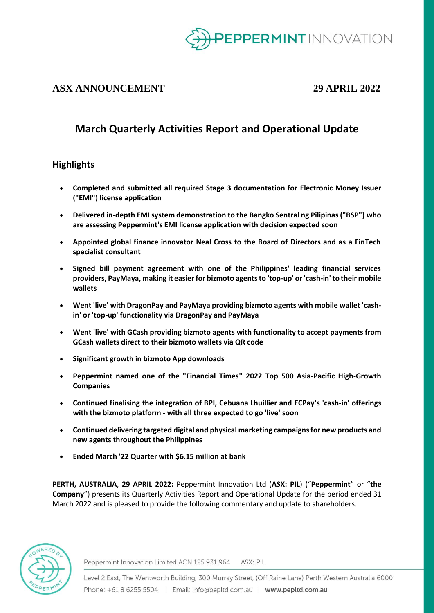

## **ASX ANNOUNCEMENT 29 APRIL 2022**

## **March Quarterly Activities Report and Operational Update**

## **Highlights**

- **Completed and submitted all required Stage 3 documentation for Electronic Money Issuer ("EMI") license application**
- **Delivered in-depth EMI system demonstration to the Bangko Sentral ng Pilipinas ("BSP") who are assessing Peppermint's EMI license application with decision expected soon**
- **Appointed global finance innovator Neal Cross to the Board of Directors and as a FinTech specialist consultant**
- **Signed bill payment agreement with one of the Philippines' leading financial services providers, PayMaya, making it easier for bizmoto agents to 'top-up' or 'cash-in' to their mobile wallets**
- **Went 'live' with DragonPay and PayMaya providing bizmoto agents with mobile wallet 'cashin' or 'top-up' functionality via DragonPay and PayMaya**
- **Went 'live' with GCash providing bizmoto agents with functionality to accept payments from GCash wallets direct to their bizmoto wallets via QR code**
- **Significant growth in bizmoto App downloads**
- **Peppermint named one of the "Financial Times" 2022 Top 500 Asia-Pacific High-Growth Companies**
- **Continued finalising the integration of BPI, Cebuana Lhuillier and ECPay's 'cash-in' offerings with the bizmoto platform - with all three expected to go 'live' soon**
- **Continued delivering targeted digital and physical marketing campaigns for new products and new agents throughout the Philippines**
- **Ended March '22 Quarter with \$6.15 million at bank**

**PERTH, AUSTRALIA**, **29 APRIL 2022:** Peppermint Innovation Ltd (**ASX: PIL**) ("**Peppermint**" or "**the Company**") presents its Quarterly Activities Report and Operational Update for the period ended 31 March 2022 and is pleased to provide the following commentary and update to shareholders.



Peppermint Innovation Limited ACN 125 931 964 ASX: PIL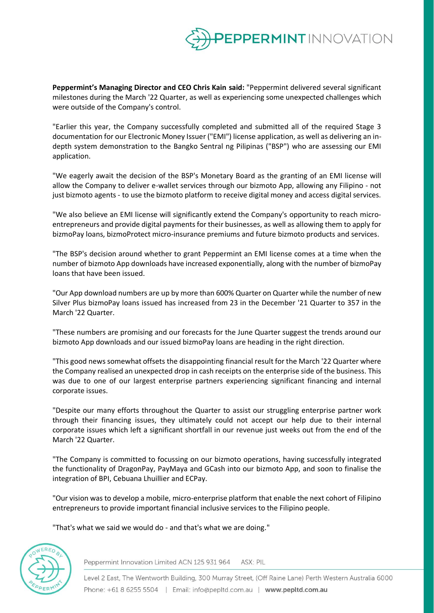

**Peppermint's Managing Director and CEO Chris Kain said:** "Peppermint delivered several significant milestones during the March '22 Quarter, as well as experiencing some unexpected challenges which were outside of the Company's control.

"Earlier this year, the Company successfully completed and submitted all of the required Stage 3 documentation for our Electronic Money Issuer ("EMI") license application, as well as delivering an indepth system demonstration to the Bangko Sentral ng Pilipinas ("BSP") who are assessing our EMI application.

"We eagerly await the decision of the BSP's Monetary Board as the granting of an EMI license will allow the Company to deliver e-wallet services through our bizmoto App, allowing any Filipino - not just bizmoto agents - to use the bizmoto platform to receive digital money and access digital services.

"We also believe an EMI license will significantly extend the Company's opportunity to reach microentrepreneurs and provide digital payments for their businesses, as well as allowing them to apply for bizmoPay loans, bizmoProtect micro-insurance premiums and future bizmoto products and services.

"The BSP's decision around whether to grant Peppermint an EMI license comes at a time when the number of bizmoto App downloads have increased exponentially, along with the number of bizmoPay loans that have been issued.

"Our App download numbers are up by more than 600% Quarter on Quarter while the number of new Silver Plus bizmoPay loans issued has increased from 23 in the December '21 Quarter to 357 in the March '22 Quarter.

"These numbers are promising and our forecasts for the June Quarter suggest the trends around our bizmoto App downloads and our issued bizmoPay loans are heading in the right direction.

"This good news somewhat offsets the disappointing financial result for the March '22 Quarter where the Company realised an unexpected drop in cash receipts on the enterprise side of the business. This was due to one of our largest enterprise partners experiencing significant financing and internal corporate issues.

"Despite our many efforts throughout the Quarter to assist our struggling enterprise partner work through their financing issues, they ultimately could not accept our help due to their internal corporate issues which left a significant shortfall in our revenue just weeks out from the end of the March '22 Quarter.

"The Company is committed to focussing on our bizmoto operations, having successfully integrated the functionality of DragonPay, PayMaya and GCash into our bizmoto App, and soon to finalise the integration of BPI, Cebuana Lhuillier and ECPay.

"Our vision was to develop a mobile, micro-enterprise platform that enable the next cohort of Filipino entrepreneurs to provide important financial inclusive services to the Filipino people.

"That's what we said we would do - and that's what we are doing."



Peppermint Innovation Limited ACN 125 931 964 ASX: PIL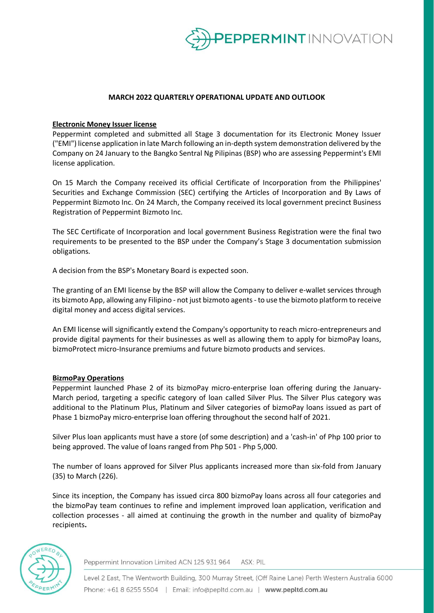

#### **MARCH 2022 QUARTERLY OPERATIONAL UPDATE AND OUTLOOK**

#### **Electronic Money Issuer license**

Peppermint completed and submitted all Stage 3 documentation for its Electronic Money Issuer ("EMI") license application in late March following an in-depth system demonstration delivered by the Company on 24 January to the Bangko Sentral Ng Pilipinas (BSP) who are assessing Peppermint's EMI license application.

On 15 March the Company received its official Certificate of Incorporation from the Philippines' Securities and Exchange Commission (SEC) certifying the Articles of Incorporation and By Laws of Peppermint Bizmoto Inc. On 24 March, the Company received its local government precinct Business Registration of Peppermint Bizmoto Inc.

The SEC Certificate of Incorporation and local government Business Registration were the final two requirements to be presented to the BSP under the Company's Stage 3 documentation submission obligations.

A decision from the BSP's Monetary Board is expected soon.

The granting of an EMI license by the BSP will allow the Company to deliver e-wallet services through its bizmoto App, allowing any Filipino - not just bizmoto agents - to use the bizmoto platform to receive digital money and access digital services.

An EMI license will significantly extend the Company's opportunity to reach micro-entrepreneurs and provide digital payments for their businesses as well as allowing them to apply for bizmoPay loans, bizmoProtect micro-Insurance premiums and future bizmoto products and services.

#### **BizmoPay Operations**

Peppermint launched Phase 2 of its bizmoPay micro-enterprise loan offering during the January-March period, targeting a specific category of loan called Silver Plus. The Silver Plus category was additional to the Platinum Plus, Platinum and Silver categories of bizmoPay loans issued as part of Phase 1 bizmoPay micro-enterprise loan offering throughout the second half of 2021.

Silver Plus loan applicants must have a store (of some description) and a 'cash-in' of Php 100 prior to being approved. The value of loans ranged from Php 501 - Php 5,000.

The number of loans approved for Silver Plus applicants increased more than six-fold from January (35) to March (226).

Since its inception, the Company has issued circa 800 bizmoPay loans across all four categories and the bizmoPay team continues to refine and implement improved loan application, verification and collection processes - all aimed at continuing the growth in the number and quality of bizmoPay recipients**.**



Peppermint Innovation Limited ACN 125 931 964 ASX: PIL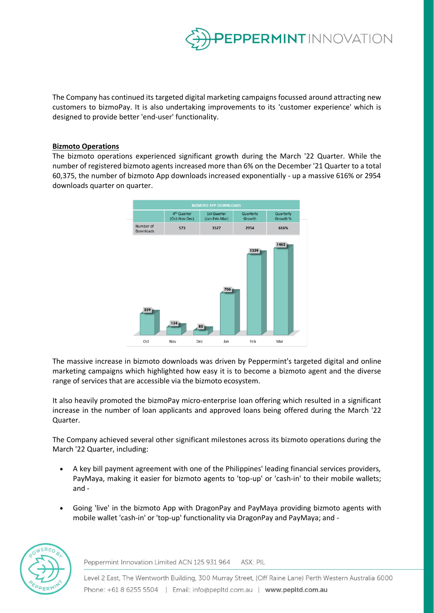

The Company has continued its targeted digital marketing campaigns focussed around attracting new customers to bizmoPay. It is also undertaking improvements to its 'customer experience' which is designed to provide better 'end-user' functionality.

#### **Bizmoto Operations**

The bizmoto operations experienced significant growth during the March '22 Quarter. While the number of registered bizmoto agents increased more than 6% on the December '21 Quarter to a total 60,375, the number of bizmoto App downloads increased exponentially - up a massive 616% or 2954 downloads quarter on quarter.



The massive increase in bizmoto downloads was driven by Peppermint's targeted digital and online marketing campaigns which highlighted how easy it is to become a bizmoto agent and the diverse range of services that are accessible via the bizmoto ecosystem.

It also heavily promoted the bizmoPay micro-enterprise loan offering which resulted in a significant increase in the number of loan applicants and approved loans being offered during the March '22 Quarter.

The Company achieved several other significant milestones across its bizmoto operations during the March '22 Quarter, including:

- A key bill payment agreement with one of the Philippines' leading financial services providers, PayMaya, making it easier for bizmoto agents to 'top-up' or 'cash-in' to their mobile wallets; and -
- Going 'live' in the bizmoto App with DragonPay and PayMaya providing bizmoto agents with mobile wallet 'cash-in' or 'top-up' functionality via DragonPay and PayMaya; and -



Peppermint Innovation Limited ACN 125 931 964 ASX: PIL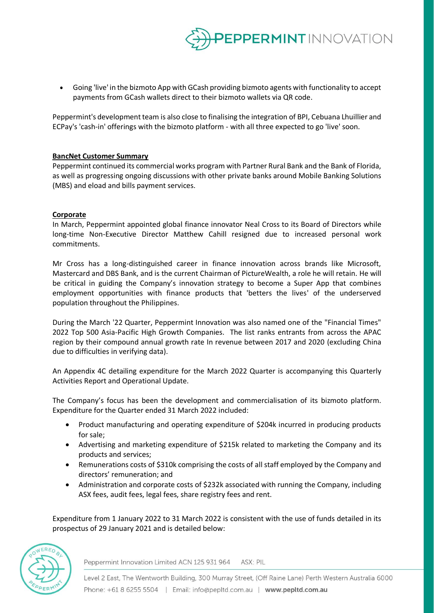

• Going 'live' in the bizmoto App with GCash providing bizmoto agents with functionality to accept payments from GCash wallets direct to their bizmoto wallets via QR code.

Peppermint's development team is also close to finalising the integration of BPI, Cebuana Lhuillier and ECPay's 'cash-in' offerings with the bizmoto platform - with all three expected to go 'live' soon.

#### **BancNet Customer Summary**

Peppermint continued its commercial works program with Partner Rural Bank and the Bank of Florida, as well as progressing ongoing discussions with other private banks around Mobile Banking Solutions (MBS) and eload and bills payment services.

#### **Corporate**

In March, Peppermint appointed global finance innovator Neal Cross to its Board of Directors while long-time Non-Executive Director Matthew Cahill resigned due to increased personal work commitments.

Mr Cross has a long-distinguished career in finance innovation across brands like Microsoft, Mastercard and DBS Bank, and is the current Chairman of PictureWealth, a role he will retain. He will be critical in guiding the Company's innovation strategy to become a Super App that combines employment opportunities with finance products that 'betters the lives' of the underserved population throughout the Philippines.

During the March '22 Quarter, Peppermint Innovation was also named one of the "Financial Times" 2022 Top 500 Asia-Pacific High Growth Companies. The list ranks entrants from across the APAC region by their compound annual growth rate In revenue between 2017 and 2020 (excluding China due to difficulties in verifying data).

An Appendix 4C detailing expenditure for the March 2022 Quarter is accompanying this Quarterly Activities Report and Operational Update.

The Company's focus has been the development and commercialisation of its bizmoto platform. Expenditure for the Quarter ended 31 March 2022 included:

- Product manufacturing and operating expenditure of \$204k incurred in producing products for sale;
- Advertising and marketing expenditure of \$215k related to marketing the Company and its products and services;
- Remunerations costs of \$310k comprising the costs of all staff employed by the Company and directors' remuneration; and
- Administration and corporate costs of \$232k associated with running the Company, including ASX fees, audit fees, legal fees, share registry fees and rent.

Expenditure from 1 January 2022 to 31 March 2022 is consistent with the use of funds detailed in its prospectus of 29 January 2021 and is detailed below:



Peppermint Innovation Limited ACN 125 931 964 ASX: PIL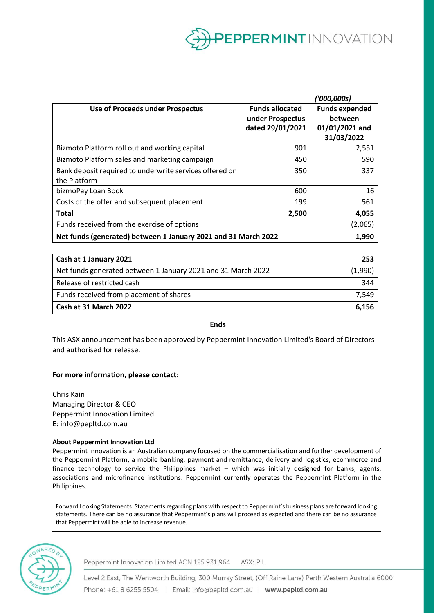

|                                                                |                        | ''000,000s)           |
|----------------------------------------------------------------|------------------------|-----------------------|
| <b>Use of Proceeds under Prospectus</b>                        | <b>Funds allocated</b> | <b>Funds expended</b> |
|                                                                | under Prospectus       | between               |
|                                                                | dated 29/01/2021       | 01/01/2021 and        |
|                                                                |                        | 31/03/2022            |
| Bizmoto Platform roll out and working capital                  | 901                    | 2,551                 |
| Bizmoto Platform sales and marketing campaign                  | 450                    | 590                   |
| Bank deposit required to underwrite services offered on        | 350                    | 337                   |
| the Platform                                                   |                        |                       |
| bizmoPay Loan Book                                             | 600                    | 16                    |
| Costs of the offer and subsequent placement                    | 199                    | 561                   |
| <b>Total</b>                                                   | 2,500                  | 4,055                 |
| Funds received from the exercise of options                    |                        | (2,065)               |
| Net funds (generated) between 1 January 2021 and 31 March 2022 |                        | 1,990                 |
|                                                                |                        |                       |

| Cash at 1 January 2021                                       | 253     |
|--------------------------------------------------------------|---------|
| Net funds generated between 1 January 2021 and 31 March 2022 | (1,990) |
| Release of restricted cash                                   | 344     |
| Funds received from placement of shares                      | 7.549   |
| Cash at 31 March 2022                                        | 6.156   |

**Ends**

This ASX announcement has been approved by Peppermint Innovation Limited's Board of Directors and authorised for release.

#### **For more information, please contact:**

Chris Kain Managing Director & CEO Peppermint Innovation Limited E: info@pepltd.com.au

#### **About Peppermint Innovation Ltd**

Peppermint Innovation is an Australian company focused on the commercialisation and further development of the Peppermint Platform, a mobile banking, payment and remittance, delivery and logistics, ecommerce and finance technology to service the Philippines market – which was initially designed for banks, agents, associations and microfinance institutions. Peppermint currently operates the Peppermint Platform in the Philippines.

Forward Looking Statements: Statements regarding plans with respect to Peppermint's business plans are forward looking statements. There can be no assurance that Peppermint's plans will proceed as expected and there can be no assurance that Peppermint will be able to increase revenue.



Peppermint Innovation Limited ACN 125 931 964 ASX: PIL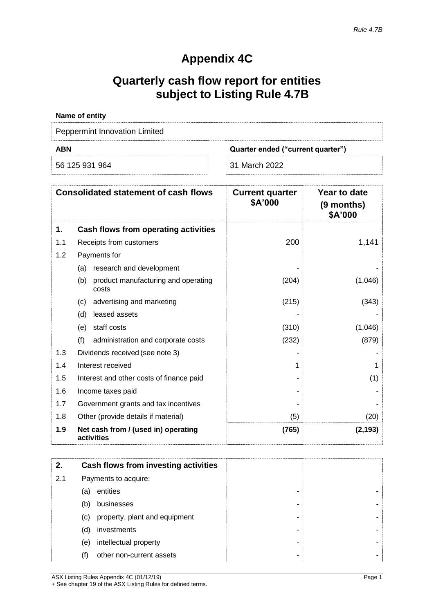# **Appendix 4C**

# **Quarterly cash flow report for entities subject to Listing Rule 4.7B**

| Name of entity                |                                   |
|-------------------------------|-----------------------------------|
| Peppermint Innovation Limited |                                   |
| <b>ABN</b>                    | Quarter ended ("current quarter") |
| 56 125 931 964                | 31 March 2022                     |

|     | <b>Consolidated statement of cash flows</b>         | <b>Current quarter</b><br>\$A'000 | Year to date<br>(9 months)<br>\$A'000 |
|-----|-----------------------------------------------------|-----------------------------------|---------------------------------------|
| 1.  | Cash flows from operating activities                |                                   |                                       |
| 1.1 | Receipts from customers                             | 200                               | 1,141                                 |
| 1.2 | Payments for                                        |                                   |                                       |
|     | research and development<br>(a)                     |                                   |                                       |
|     | product manufacturing and operating<br>(b)<br>costs | (204)                             | (1,046)                               |
|     | advertising and marketing<br>(c)                    | (215)                             | (343)                                 |
|     | leased assets<br>(d)                                |                                   |                                       |
|     | staff costs<br>(e)                                  | (310)                             | (1,046)                               |
|     | (f)<br>administration and corporate costs           | (232)                             | (879)                                 |
| 1.3 | Dividends received (see note 3)                     |                                   |                                       |
| 1.4 | Interest received                                   | 1                                 |                                       |
| 1.5 | Interest and other costs of finance paid            |                                   | (1)                                   |
| 1.6 | Income taxes paid                                   |                                   |                                       |
| 1.7 | Government grants and tax incentives                |                                   |                                       |
| 1.8 | Other (provide details if material)                 | (5)                               | (20)                                  |
| 1.9 | Net cash from / (used in) operating<br>activities   | (765)                             | (2, 193)                              |

| 2.  |     | Cash flows from investing activities |
|-----|-----|--------------------------------------|
| 2.1 |     | Payments to acquire:                 |
|     | (a) | entities                             |
|     | (b) | businesses                           |
|     | (C) | property, plant and equipment        |
|     | (d) | investments                          |
|     | (e) | intellectual property                |
|     | (f) | other non-current assets             |

ASX Listing Rules Appendix 4C (01/12/19) Page 1 + See chapter 19 of the ASX Listing Rules for defined terms.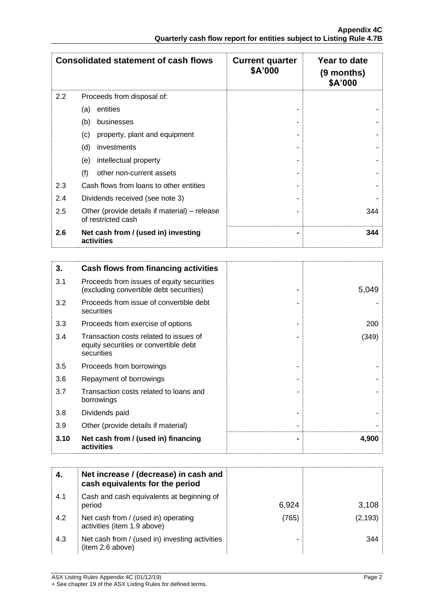|     | <b>Consolidated statement of cash flows</b>                         | <b>Current quarter</b><br>\$A'000 | Year to date<br>(9 months)<br>\$A'000 |
|-----|---------------------------------------------------------------------|-----------------------------------|---------------------------------------|
| 2.2 | Proceeds from disposal of:                                          |                                   |                                       |
|     | entities<br>(a)                                                     |                                   |                                       |
|     | (b)<br>businesses                                                   |                                   |                                       |
|     | (c)<br>property, plant and equipment                                |                                   |                                       |
|     | (d)<br>investments                                                  |                                   |                                       |
|     | intellectual property<br>(e)                                        |                                   |                                       |
|     | (f)<br>other non-current assets                                     |                                   |                                       |
| 2.3 | Cash flows from loans to other entities                             |                                   |                                       |
| 2.4 | Dividends received (see note 3)                                     |                                   |                                       |
| 2.5 | Other (provide details if material) – release<br>of restricted cash |                                   | 344                                   |
| 2.6 | Net cash from / (used in) investing<br>activities                   |                                   | 344                                   |

| 3.   | Cash flows from financing activities                                                          |       |
|------|-----------------------------------------------------------------------------------------------|-------|
| 3.1  | Proceeds from issues of equity securities<br>(excluding convertible debt securities)          | 5,049 |
| 3.2  | Proceeds from issue of convertible debt<br>securities                                         |       |
| 3.3  | Proceeds from exercise of options                                                             | 200   |
| 3.4  | Transaction costs related to issues of<br>equity securities or convertible debt<br>securities | (349) |
| 3.5  | Proceeds from borrowings                                                                      |       |
| 3.6  | Repayment of borrowings                                                                       |       |
| 3.7  | Transaction costs related to loans and<br>borrowings                                          |       |
| 3.8  | Dividends paid                                                                                |       |
| 3.9  | Other (provide details if material)                                                           |       |
| 3.10 | Net cash from / (used in) financing<br>activities                                             | 4,900 |

|     | Net increase / (decrease) in cash and<br>cash equivalents for the period |       |          |
|-----|--------------------------------------------------------------------------|-------|----------|
| 4.1 | Cash and cash equivalents at beginning of<br>period                      | 6,924 | 3,108    |
| 4.2 | Net cash from / (used in) operating<br>activities (item 1.9 above)       | (765) | (2, 193) |
| 4.3 | Net cash from / (used in) investing activities<br>(item 2.6 above)       |       | 344      |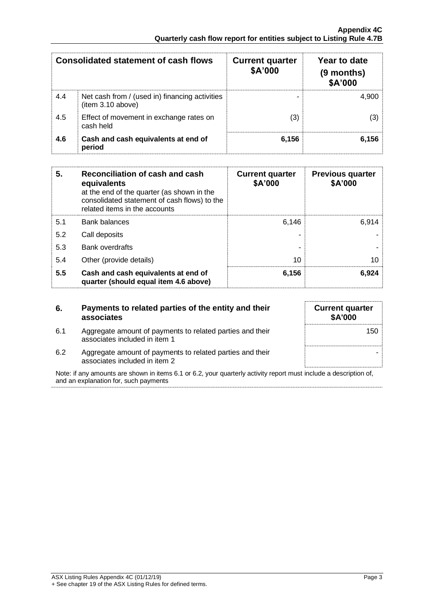|     | Consolidated statement of cash flows                                | <b>Current quarter</b><br>\$A'000 | Year to date<br>(9 months)<br>\$A'000 |
|-----|---------------------------------------------------------------------|-----------------------------------|---------------------------------------|
| 4.4 | Net cash from / (used in) financing activities<br>(item 3.10 above) |                                   | 4.900                                 |
| 4.5 | Effect of movement in exchange rates on<br>cash held                | (3)                               |                                       |
| 4.6 | Cash and cash equivalents at end of<br>period                       | 6,156                             | 6.156                                 |

| 5.  | Reconciliation of cash and cash<br>equivalents<br>at the end of the quarter (as shown in the<br>consolidated statement of cash flows) to the<br>related items in the accounts | <b>Current quarter</b><br>\$A'000 | <b>Previous quarter</b><br>\$A'000 |
|-----|-------------------------------------------------------------------------------------------------------------------------------------------------------------------------------|-----------------------------------|------------------------------------|
| 5.1 | <b>Bank balances</b>                                                                                                                                                          | 6,146                             | 6.914                              |
| 5.2 | Call deposits                                                                                                                                                                 |                                   |                                    |
| 5.3 | <b>Bank overdrafts</b>                                                                                                                                                        |                                   |                                    |
| 5.4 | Other (provide details)                                                                                                                                                       | 10                                | 10                                 |
| 5.5 | Cash and cash equivalents at end of<br>quarter (should equal item 4.6 above)                                                                                                  | 6,156                             | 6,924                              |

| 6.  | Payments to related parties of the entity and their<br>associates                          |
|-----|--------------------------------------------------------------------------------------------|
| 6.1 | Aggregate amount of payments to related parties and their<br>associates included in item 1 |
| 6.2 | Aggregate amount of payments to related parties and their                                  |

| <b>Current quarter</b><br>\$A'000 |     |
|-----------------------------------|-----|
|                                   | 150 |
|                                   |     |

6.2 Aggregate amount of payments to related parties and their associates included in item 2

Note: if any amounts are shown in items 6.1 or 6.2, your quarterly activity report must include a description of, and an explanation for, such payments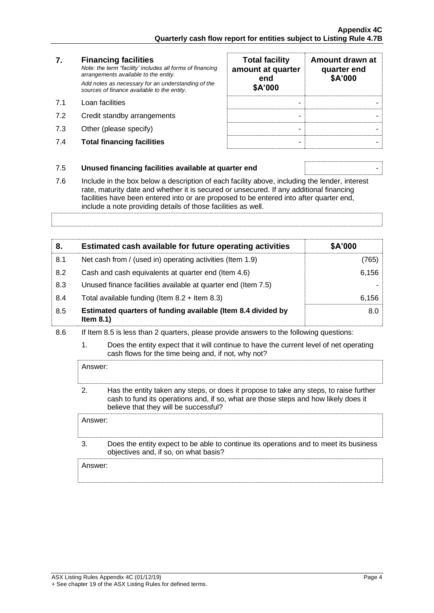#### **7. Financing facilities** *Note: the term "facility' includes all forms of financing arrangements available to the entity. Add notes as necessary for an understanding of the sources of finance available to the entity.* 7.1 Loan facilities

- 7.2 Credit standby arrangements
- $7.3$  Other (please specify)
- **7.4 Total financing facilities**

| <b>Total facility</b><br>amount at quarter<br>end<br>\$A'000 | Amount drawn at<br>quarter end<br>\$A'000 |
|--------------------------------------------------------------|-------------------------------------------|
|                                                              |                                           |
|                                                              |                                           |
|                                                              |                                           |

### 7.5 **Unused financing facilities available at quarter end** -

7.6 Include in the box below a description of each facility above, including the lender, interest rate, maturity date and whether it is secured or unsecured. If any additional financing facilities have been entered into or are proposed to be entered into after quarter end, include a note providing details of those facilities as well.

**8. Estimated cash available for future operating activities \$A'000** 8.1 Net cash from / (used in) operating activities (Item 1.9) (765) 8.2 Cash and cash equivalents at quarter end (Item 4.6) 6,156 8.3 Unused finance facilities available at quarter end (Item 7.5) 8.4 Total available funding (Item 8.2 + Item 8.3) 6,156 8.0

- 8.5 **Estimated quarters of funding available (Item 8.4 divided by Item 8.1)**
- 8.6 If Item 8.5 is less than 2 quarters, please provide answers to the following questions:
	- 1. Does the entity expect that it will continue to have the current level of net operating cash flows for the time being and, if not, why not?

Answer:

2. Has the entity taken any steps, or does it propose to take any steps, to raise further cash to fund its operations and, if so, what are those steps and how likely does it believe that they will be successful?

Answer:

3. Does the entity expect to be able to continue its operations and to meet its business objectives and, if so, on what basis?

Answer: